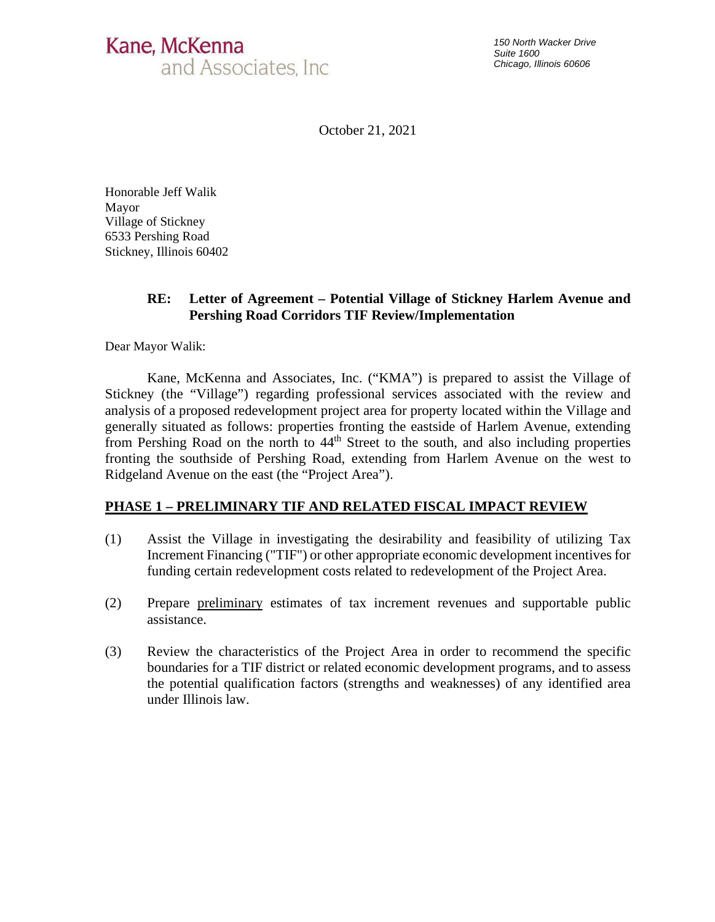October 21, 2021

Honorable Jeff Walik Mayor Village of Stickney 6533 Pershing Road Stickney, Illinois 60402

### **RE: Letter of Agreement – Potential Village of Stickney Harlem Avenue and Pershing Road Corridors TIF Review/Implementation**

Dear Mayor Walik:

Kane, McKenna and Associates, Inc. ("KMA") is prepared to assist the Village of Stickney (the "Village") regarding professional services associated with the review and analysis of a proposed redevelopment project area for property located within the Village and generally situated as follows: properties fronting the eastside of Harlem Avenue, extending from Pershing Road on the north to 44<sup>th</sup> Street to the south, and also including properties fronting the southside of Pershing Road, extending from Harlem Avenue on the west to Ridgeland Avenue on the east (the "Project Area").

#### **PHASE 1 – PRELIMINARY TIF AND RELATED FISCAL IMPACT REVIEW**

- (1) Assist the Village in investigating the desirability and feasibility of utilizing Tax Increment Financing ("TIF") or other appropriate economic development incentives for funding certain redevelopment costs related to redevelopment of the Project Area.
- (2) Prepare preliminary estimates of tax increment revenues and supportable public assistance.
- (3) Review the characteristics of the Project Area in order to recommend the specific boundaries for a TIF district or related economic development programs, and to assess the potential qualification factors (strengths and weaknesses) of any identified area under Illinois law.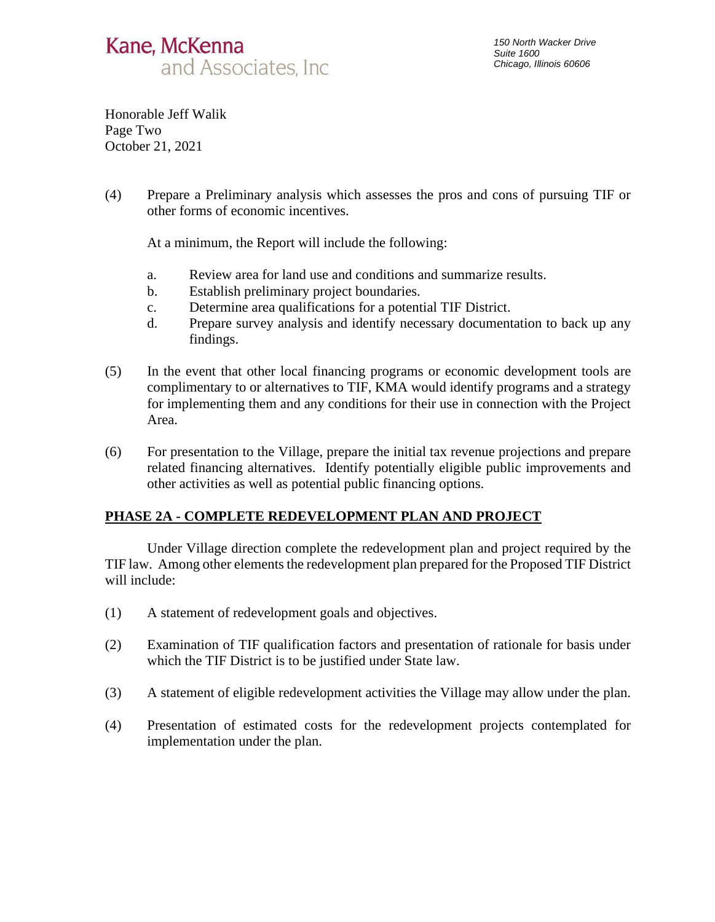# Kane, McKenna and Associates, Inc.

Honorable Jeff Walik Page Two October 21, 2021

(4) Prepare a Preliminary analysis which assesses the pros and cons of pursuing TIF or other forms of economic incentives.

At a minimum, the Report will include the following:

- a. Review area for land use and conditions and summarize results.
- b. Establish preliminary project boundaries.
- c. Determine area qualifications for a potential TIF District.
- d. Prepare survey analysis and identify necessary documentation to back up any findings.
- (5) In the event that other local financing programs or economic development tools are complimentary to or alternatives to TIF, KMA would identify programs and a strategy for implementing them and any conditions for their use in connection with the Project Area.
- (6) For presentation to the Village, prepare the initial tax revenue projections and prepare related financing alternatives. Identify potentially eligible public improvements and other activities as well as potential public financing options.

### **PHASE 2A - COMPLETE REDEVELOPMENT PLAN AND PROJECT**

Under Village direction complete the redevelopment plan and project required by the TIF law. Among other elements the redevelopment plan prepared for the Proposed TIF District will include:

- (1) A statement of redevelopment goals and objectives.
- (2) Examination of TIF qualification factors and presentation of rationale for basis under which the TIF District is to be justified under State law.
- (3) A statement of eligible redevelopment activities the Village may allow under the plan.
- (4) Presentation of estimated costs for the redevelopment projects contemplated for implementation under the plan.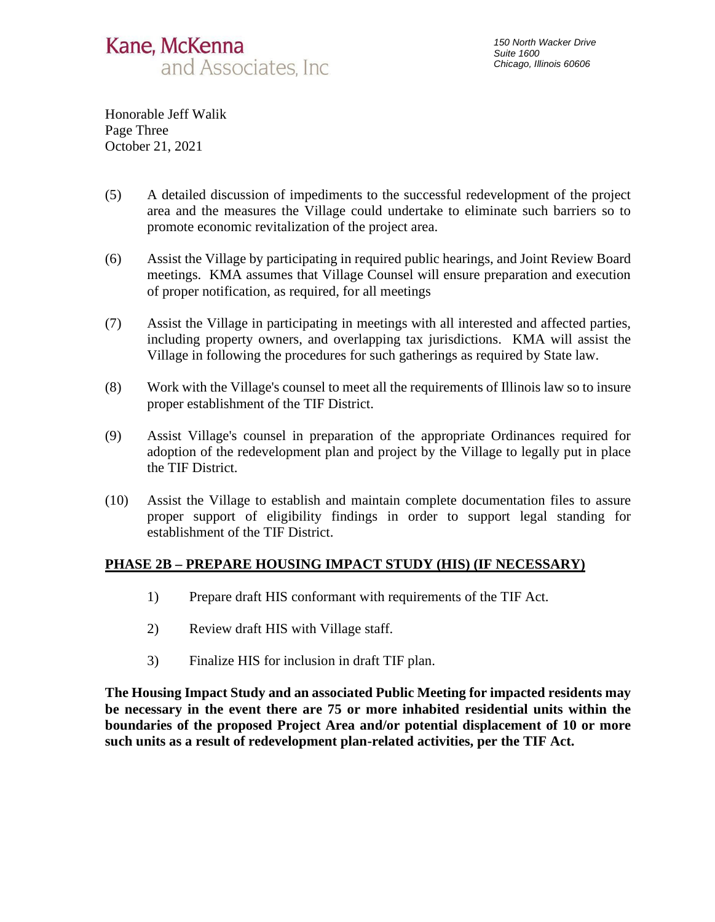# Kane, McKenna and Associates, Inc.

Honorable Jeff Walik Page Three October 21, 2021

- (5) A detailed discussion of impediments to the successful redevelopment of the project area and the measures the Village could undertake to eliminate such barriers so to promote economic revitalization of the project area.
- (6) Assist the Village by participating in required public hearings, and Joint Review Board meetings. KMA assumes that Village Counsel will ensure preparation and execution of proper notification, as required, for all meetings
- (7) Assist the Village in participating in meetings with all interested and affected parties, including property owners, and overlapping tax jurisdictions. KMA will assist the Village in following the procedures for such gatherings as required by State law.
- (8) Work with the Village's counsel to meet all the requirements of Illinois law so to insure proper establishment of the TIF District.
- (9) Assist Village's counsel in preparation of the appropriate Ordinances required for adoption of the redevelopment plan and project by the Village to legally put in place the TIF District.
- (10) Assist the Village to establish and maintain complete documentation files to assure proper support of eligibility findings in order to support legal standing for establishment of the TIF District.

### **PHASE 2B – PREPARE HOUSING IMPACT STUDY (HIS) (IF NECESSARY)**

- 1) Prepare draft HIS conformant with requirements of the TIF Act.
- 2) Review draft HIS with Village staff.
- 3) Finalize HIS for inclusion in draft TIF plan.

**The Housing Impact Study and an associated Public Meeting for impacted residents may be necessary in the event there are 75 or more inhabited residential units within the boundaries of the proposed Project Area and/or potential displacement of 10 or more such units as a result of redevelopment plan-related activities, per the TIF Act.**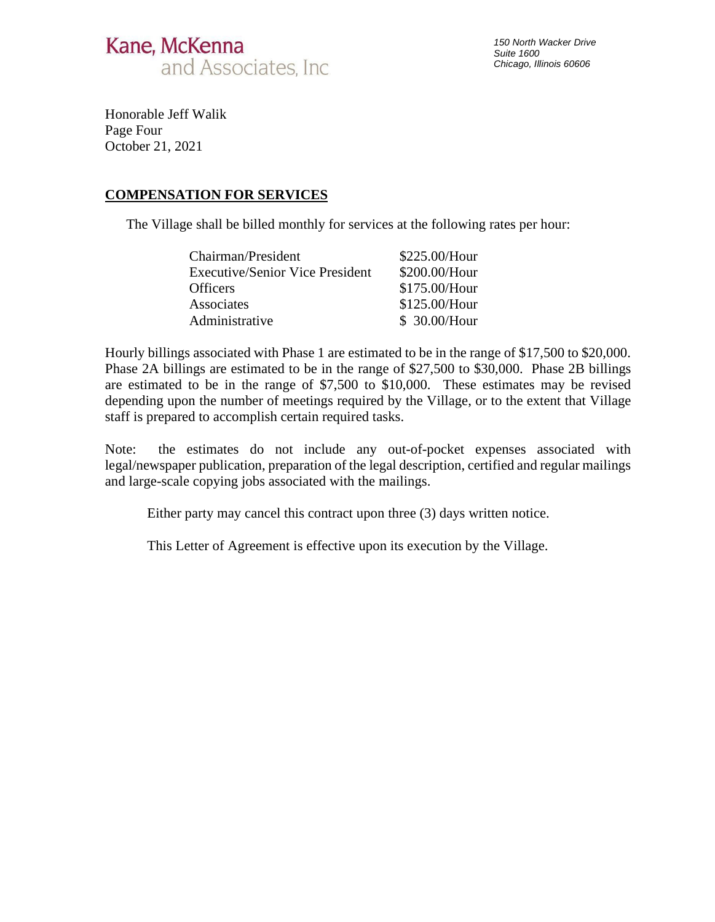

Honorable Jeff Walik Page Four October 21, 2021

#### **COMPENSATION FOR SERVICES**

The Village shall be billed monthly for services at the following rates per hour:

| Chairman/President                     | \$225.00/Hour |
|----------------------------------------|---------------|
| <b>Executive/Senior Vice President</b> | \$200.00/Hour |
| <b>Officers</b>                        | \$175.00/Hour |
| Associates                             | \$125.00/Hour |
| Administrative                         | \$ 30.00/Hour |

Hourly billings associated with Phase 1 are estimated to be in the range of \$17,500 to \$20,000. Phase 2A billings are estimated to be in the range of \$27,500 to \$30,000. Phase 2B billings are estimated to be in the range of \$7,500 to \$10,000. These estimates may be revised depending upon the number of meetings required by the Village, or to the extent that Village staff is prepared to accomplish certain required tasks.

Note: the estimates do not include any out-of-pocket expenses associated with legal/newspaper publication, preparation of the legal description, certified and regular mailings and large-scale copying jobs associated with the mailings.

Either party may cancel this contract upon three (3) days written notice.

This Letter of Agreement is effective upon its execution by the Village.